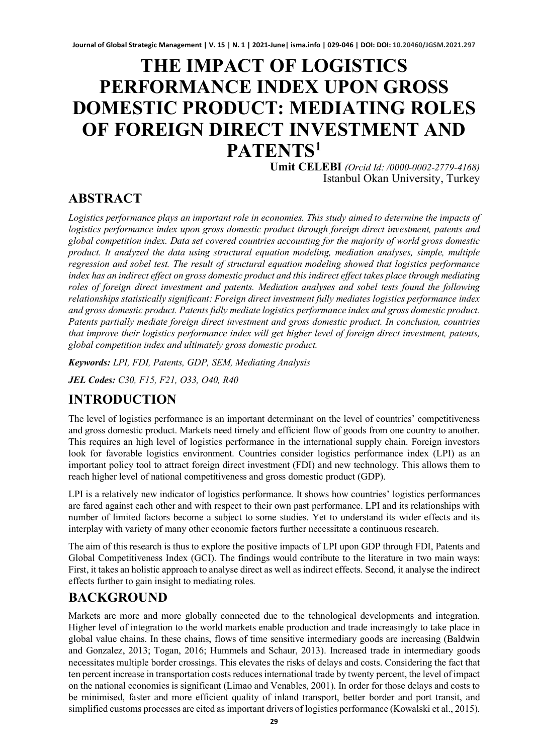# **THE IMPACT OF LOGISTICS PERFORMANCE INDEX UPON GROSS DOMESTIC PRODUCT: MEDIATING ROLES OF FOREIGN DIRECT INVESTMENT AND PATENTS1**

**Umit CELEBI** *(Orcid Id: /0000-0002-2779-4168)* Istanbul Okan University, Turkey

## **ABSTRACT**

*Logistics performance plays an important role in economies. This study aimed to determine the impacts of logistics performance index upon gross domestic product through foreign direct investment, patents and global competition index. Data set covered countries accounting for the majority of world gross domestic product. It analyzed the data using structural equation modeling, mediation analyses, simple, multiple regression and sobel test. The result of structural equation modeling showed that logistics performance index has an indirect effect on gross domestic product and this indirect effect takes place through mediating roles of foreign direct investment and patents. Mediation analyses and sobel tests found the following relationships statistically significant: Foreign direct investment fully mediates logistics performance index and gross domestic product. Patents fully mediate logistics performance index and gross domestic product. Patents partially mediate foreign direct investment and gross domestic product. In conclusion, countries that improve their logistics performance index will get higher level of foreign direct investment, patents, global competition index and ultimately gross domestic product.*

*Keywords: LPI, FDI, Patents, GDP, SEM, Mediating Analysis*

*JEL Codes: C30, F15, F21, O33, O40, R40*

## **INTRODUCTION**

The level of logistics performance is an important determinant on the level of countries' competitiveness and gross domestic product. Markets need timely and efficient flow of goods from one country to another. This requires an high level of logistics performance in the international supply chain. Foreign investors look for favorable logistics environment. Countries consider logistics performance index (LPI) as an important policy tool to attract foreign direct investment (FDI) and new technology. This allows them to reach higher level of national competitiveness and gross domestic product (GDP).

LPI is a relatively new indicator of logistics performance. It shows how countries' logistics performances are fared against each other and with respect to their own past performance. LPI and its relationships with number of limited factors become a subject to some studies. Yet to understand its wider effects and its interplay with variety of many other economic factors further necessitate a continuous research.

The aim of this research is thus to explore the positive impacts of LPI upon GDP through FDI, Patents and Global Competitiveness Index (GCI). The findings would contribute to the literature in two main ways: First, it takes an holistic approach to analyse direct as well as indirect effects. Second, it analyse the indirect effects further to gain insight to mediating roles.

## **BACKGROUND**

Markets are more and more globally connected due to the tehnological developments and integration. Higher level of integration to the world markets enable production and trade increasingly to take place in global value chains. In these chains, flows of time sensitive intermediary goods are increasing (Baldwin and Gonzalez, 2013; Togan, 2016; Hummels and Schaur, 2013). Increased trade in intermediary goods necessitates multiple border crossings. This elevates the risks of delays and costs. Considering the fact that ten percent increase in transportation costs reduces international trade by twenty percent, the level of impact on the national economies is significant (Limao and Venables, 2001). In order for those delays and costs to be minimised, faster and more efficient quality of inland transport, better border and port transit, and simplified customs processes are cited as important drivers of logistics performance (Kowalski et al., 2015).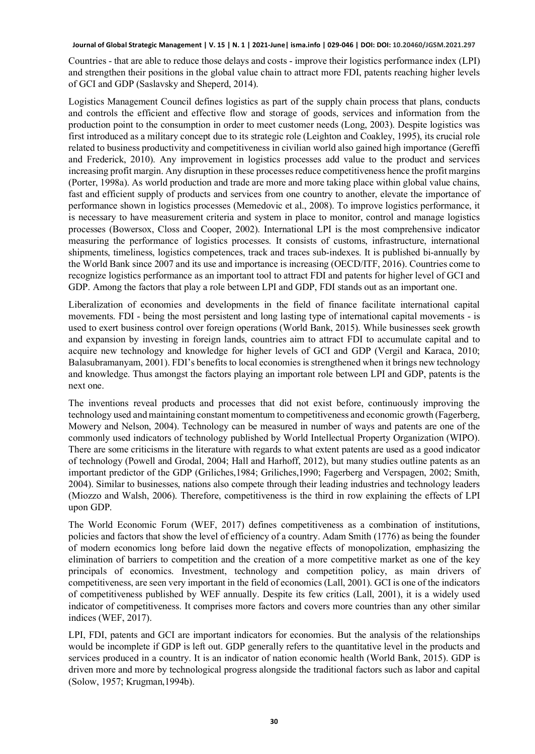Countries - that are able to reduce those delays and costs - improve their logistics performance index (LPI) and strengthen their positions in the global value chain to attract more FDI, patents reaching higher levels of GCI and GDP (Saslavsky and Sheperd, 2014).

Logistics Management Council defines logistics as part of the supply chain process that plans, conducts and controls the efficient and effective flow and storage of goods, services and information from the production point to the consumption in order to meet customer needs (Long, 2003). Despite logistics was first introduced as a military concept due to its strategic role (Leighton and Coakley, 1995), its crucial role related to business productivity and competitiveness in civilian world also gained high importance (Gereffi and Frederick, 2010). Any improvement in logistics processes add value to the product and services increasing profit margin. Any disruption in these processes reduce competitiveness hence the profit margins (Porter, 1998a). As world production and trade are more and more taking place within global value chains, fast and efficient supply of products and services from one country to another, elevate the importance of performance shown in logistics processes (Memedovic et al., 2008). To improve logistics performance, it is necessary to have measurement criteria and system in place to monitor, control and manage logistics processes (Bowersox, Closs and Cooper, 2002). International LPI is the most comprehensive indicator measuring the performance of logistics processes. It consists of customs, infrastructure, international shipments, timeliness, logistics competences, track and traces sub-indexes. It is published bi-annually by the World Bank since 2007 and its use and importance is increasing (OECD/ITF, 2016). Countries come to recognize logistics performance as an important tool to attract FDI and patents for higher level of GCI and GDP. Among the factors that play a role between LPI and GDP, FDI stands out as an important one.

Liberalization of economies and developments in the field of finance facilitate international capital movements. FDI - being the most persistent and long lasting type of international capital movements - is used to exert business control over foreign operations (World Bank, 2015). While businesses seek growth and expansion by investing in foreign lands, countries aim to attract FDI to accumulate capital and to acquire new technology and knowledge for higher levels of GCI and GDP (Vergil and Karaca, 2010; Balasubramanyam, 2001). FDI's benefits to local economies is strengthened when it brings new technology and knowledge. Thus amongst the factors playing an important role between LPI and GDP, patents is the next one.

The inventions reveal products and processes that did not exist before, continuously improving the technology used and maintaining constant momentum to competitiveness and economic growth (Fagerberg, Mowery and Nelson, 2004). Technology can be measured in number of ways and patents are one of the commonly used indicators of technology published by World Intellectual Property Organization (WIPO). There are some criticisms in the literature with regards to what extent patents are used as a good indicator of technology (Powell and Grodal, 2004; Hall and Harhoff, 2012), but many studies outline patents as an important predictor of the GDP (Griliches,1984; Griliches,1990; Fagerberg and Verspagen, 2002; Smith, 2004). Similar to businesses, nations also compete through their leading industries and technology leaders (Miozzo and Walsh, 2006). Therefore, competitiveness is the third in row explaining the effects of LPI upon GDP.

The World Economic Forum (WEF, 2017) defines competitiveness as a combination of institutions, policies and factors that show the level of efficiency of a country. Adam Smith (1776) as being the founder of modern economics long before laid down the negative effects of monopolization, emphasizing the elimination of barriers to competition and the creation of a more competitive market as one of the key principals of economics. Investment, technology and competition policy, as main drivers of competitiveness, are seen very important in the field of economics (Lall, 2001). GCI is one of the indicators of competitiveness published by WEF annually. Despite its few critics (Lall, 2001), it is a widely used indicator of competitiveness. It comprises more factors and covers more countries than any other similar indices (WEF, 2017).

LPI, FDI, patents and GCI are important indicators for economies. But the analysis of the relationships would be incomplete if GDP is left out. GDP generally refers to the quantitative level in the products and services produced in a country. It is an indicator of nation economic health (World Bank, 2015). GDP is driven more and more by technological progress alongside the traditional factors such as labor and capital (Solow, 1957; Krugman,1994b).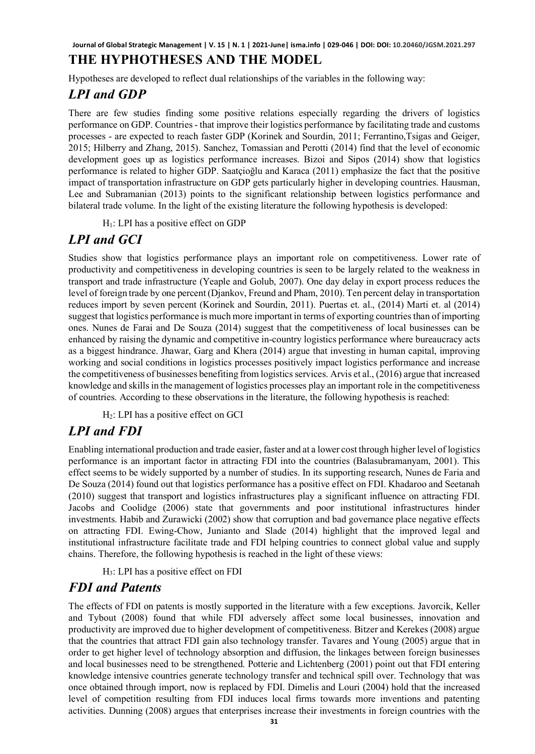## **THE HYPHOTHESES AND THE MODEL**

Hypotheses are developed to reflect dual relationships of the variables in the following way:

## *LPI and GDP*

There are few studies finding some positive relations especially regarding the drivers of logistics performance on GDP. Countries - that improve their logistics performance by facilitating trade and customs processes - are expected to reach faster GDP (Korinek and Sourdin, 2011; Ferrantino,Tsigas and Geiger, 2015; Hilberry and Zhang, 2015). Sanchez, Tomassian and Perotti (2014) find that the level of economic development goes up as logistics performance increases. Bizoi and Sipos (2014) show that logistics performance is related to higher GDP. Saatçioğlu and Karaca (2011) emphasize the fact that the positive impact of transportation infrastructure on GDP gets particularly higher in developing countries. Hausman, Lee and Subramanian (2013) points to the significant relationship between logistics performance and bilateral trade volume. In the light of the existing literature the following hypothesis is developed:

 $H<sub>1</sub>$ : LPI has a positive effect on GDP

## *LPI and GCI*

Studies show that logistics performance plays an important role on competitiveness. Lower rate of productivity and competitiveness in developing countries is seen to be largely related to the weakness in transport and trade infrastructure (Yeaple and Golub, 2007). One day delay in export process reduces the level of foreign trade by one percent (Djankov, Freund and Pham, 2010). Ten percent delay in transportation reduces import by seven percent (Korinek and Sourdin, 2011). Puertas et. al., (2014) Marti et. al (2014) suggest that logistics performance is much more important in terms of exporting countries than of importing ones. Nunes de Farai and De Souza (2014) suggest that the competitiveness of local businesses can be enhanced by raising the dynamic and competitive in-country logistics performance where bureaucracy acts as a biggest hindrance. Jhawar, Garg and Khera (2014) argue that investing in human capital, improving working and social conditions in logistics processes positively impact logistics performance and increase the competitiveness of businesses benefiting from logistics services. Arvis et al., (2016) argue that increased knowledge and skills in the management of logistics processes play an important role in the competitiveness of countries. According to these observations in the literature, the following hypothesis is reached:

H2: LPI has a positive effect on GCI

## *LPI and FDI*

Enabling international production and trade easier, faster and at a lower cost through higher level of logistics performance is an important factor in attracting FDI into the countries (Balasubramanyam, 2001). This effect seems to be widely supported by a number of studies. In its supporting research, Nunes de Faria and De Souza (2014) found out that logistics performance has a positive effect on FDI. Khadaroo and Seetanah (2010) suggest that transport and logistics infrastructures play a significant influence on attracting FDI. Jacobs and Coolidge (2006) state that governments and poor institutional infrastructures hinder investments. Habib and Zurawicki (2002) show that corruption and bad governance place negative effects on attracting FDI. Ewing-Chow, Junianto and Slade (2014) highlight that the improved legal and institutional infrastructure facilitate trade and FDI helping countries to connect global value and supply chains. Therefore, the following hypothesis is reached in the light of these views:

H3: LPI has a positive effect on FDI

## *FDI and Patents*

The effects of FDI on patents is mostly supported in the literature with a few exceptions. Javorcik, Keller and Tybout (2008) found that while FDI adversely affect some local businesses, innovation and productivity are improved due to higher development of competitiveness. Bitzer and Kerekes (2008) argue that the countries that attract FDI gain also technology transfer. Tavares and Young (2005) argue that in order to get higher level of technology absorption and diffusion, the linkages between foreign businesses and local businesses need to be strengthened. Potterie and Lichtenberg (2001) point out that FDI entering knowledge intensive countries generate technology transfer and technical spill over. Technology that was once obtained through import, now is replaced by FDI. Dimelis and Louri (2004) hold that the increased level of competition resulting from FDI induces local firms towards more inventions and patenting activities. Dunning (2008) argues that enterprises increase their investments in foreign countries with the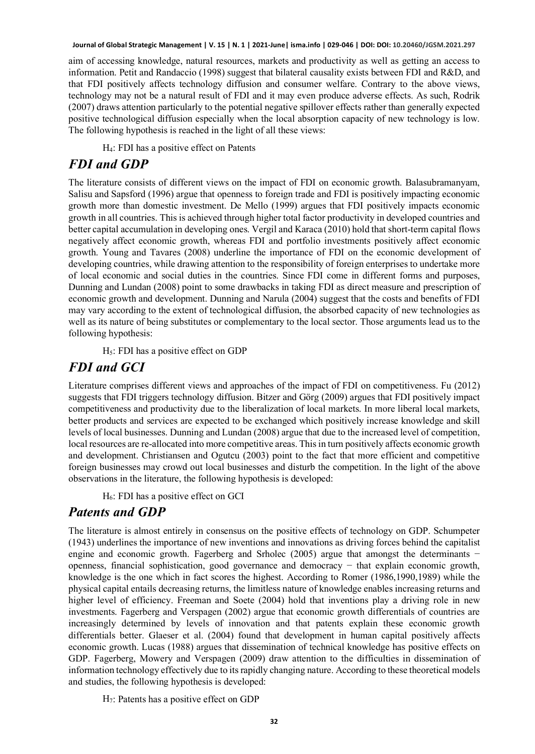aim of accessing knowledge, natural resources, markets and productivity as well as getting an access to information. Petit and Randaccio (1998) suggest that bilateral causality exists between FDI and R&D, and that FDI positively affects technology diffusion and consumer welfare. Contrary to the above views, technology may not be a natural result of FDI and it may even produce adverse effects. As such, Rodrik (2007) draws attention particularly to the potential negative spillover effects rather than generally expected positive technological diffusion especially when the local absorption capacity of new technology is low. The following hypothesis is reached in the light of all these views:

H4: FDI has a positive effect on Patents

## *FDI and GDP*

The literature consists of different views on the impact of FDI on economic growth. Balasubramanyam, Salisu and Sapsford (1996) argue that openness to foreign trade and FDI is positively impacting economic growth more than domestic investment. De Mello (1999) argues that FDI positively impacts economic growth in all countries. This is achieved through higher total factor productivity in developed countries and better capital accumulation in developing ones. Vergil and Karaca (2010) hold that short-term capital flows negatively affect economic growth, whereas FDI and portfolio investments positively affect economic growth. Young and Tavares (2008) underline the importance of FDI on the economic development of developing countries, while drawing attention to the responsibility of foreign enterprises to undertake more of local economic and social duties in the countries. Since FDI come in different forms and purposes, Dunning and Lundan (2008) point to some drawbacks in taking FDI as direct measure and prescription of economic growth and development. Dunning and Narula (2004) suggest that the costs and benefits of FDI may vary according to the extent of technological diffusion, the absorbed capacity of new technologies as well as its nature of being substitutes or complementary to the local sector. Those arguments lead us to the following hypothesis:

H<sub>5</sub>: FDI has a positive effect on GDP

## *FDI and GCI*

Literature comprises different views and approaches of the impact of FDI on competitiveness. Fu (2012) suggests that FDI triggers technology diffusion. Bitzer and Görg (2009) argues that FDI positively impact competitiveness and productivity due to the liberalization of local markets. In more liberal local markets, better products and services are expected to be exchanged which positively increase knowledge and skill levels of local businesses. Dunning and Lundan (2008) argue that due to the increased level of competition, local resources are re-allocated into more competitive areas. This in turn positively affects economic growth and development. Christiansen and Ogutcu (2003) point to the fact that more efficient and competitive foreign businesses may crowd out local businesses and disturb the competition. In the light of the above observations in the literature, the following hypothesis is developed:

 $H<sub>6</sub>$ : FDI has a positive effect on GCI

## *Patents and GDP*

The literature is almost entirely in consensus on the positive effects of technology on GDP. Schumpeter (1943) underlines the importance of new inventions and innovations as driving forces behind the capitalist engine and economic growth. Fagerberg and Srholec (2005) argue that amongst the determinants − openness, financial sophistication, good governance and democracy − that explain economic growth, knowledge is the one which in fact scores the highest. According to Romer (1986,1990,1989) while the physical capital entails decreasing returns, the limitless nature of knowledge enables increasing returns and higher level of efficiency. Freeman and Soete (2004) hold that inventions play a driving role in new investments. Fagerberg and Verspagen (2002) argue that economic growth differentials of countries are increasingly determined by levels of innovation and that patents explain these economic growth differentials better. Glaeser et al. (2004) found that development in human capital positively affects economic growth. Lucas (1988) argues that dissemination of technical knowledge has positive effects on GDP. Fagerberg, Mowery and Verspagen (2009) draw attention to the difficulties in dissemination of information technology effectively due to its rapidly changing nature. According to these theoretical models and studies, the following hypothesis is developed:

H7: Patents has a positive effect on GDP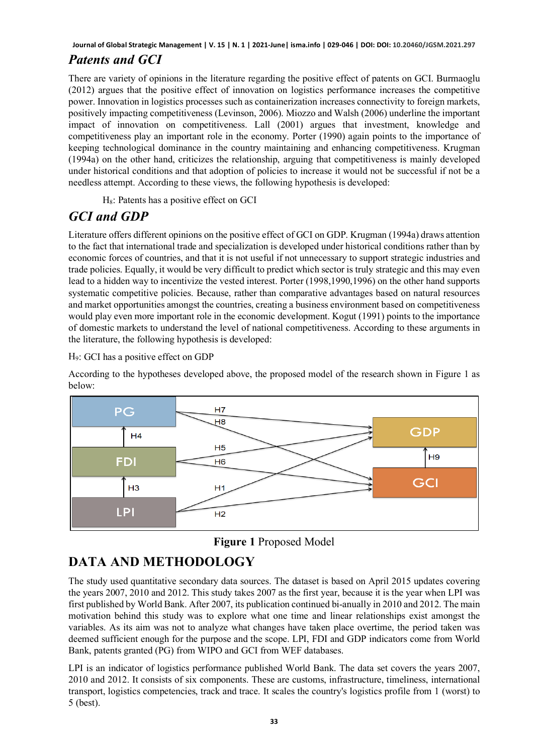## *Patents and GCI*

There are variety of opinions in the literature regarding the positive effect of patents on GCI. Burmaoglu (2012) argues that the positive effect of innovation on logistics performance increases the competitive power. Innovation in logistics processes such as containerization increases connectivity to foreign markets, positively impacting competitiveness (Levinson, 2006). Miozzo and Walsh (2006) underline the important impact of innovation on competitiveness. Lall (2001) argues that investment, knowledge and competitiveness play an important role in the economy. Porter (1990) again points to the importance of keeping technological dominance in the country maintaining and enhancing competitiveness. Krugman (1994a) on the other hand, criticizes the relationship, arguing that competitiveness is mainly developed under historical conditions and that adoption of policies to increase it would not be successful if not be a needless attempt. According to these views, the following hypothesis is developed:

H8: Patents has a positive effect on GCI

## *GCI and GDP*

Literature offers different opinions on the positive effect of GCI on GDP. Krugman (1994a) draws attention to the fact that international trade and specialization is developed under historical conditions rather than by economic forces of countries, and that it is not useful if not unnecessary to support strategic industries and trade policies. Equally, it would be very difficult to predict which sector is truly strategic and this may even lead to a hidden way to incentivize the vested interest. Porter (1998,1990,1996) on the other hand supports systematic competitive policies. Because, rather than comparative advantages based on natural resources and market opportunities amongst the countries, creating a business environment based on competitiveness would play even more important role in the economic development. Kogut (1991) points to the importance of domestic markets to understand the level of national competitiveness. According to these arguments in the literature, the following hypothesis is developed:

### H9: GCI has a positive effect on GDP

According to the hypotheses developed above, the proposed model of the research shown in Figure 1 as below:



**Figure 1** Proposed Model

# **DATA AND METHODOLOGY**

The study used quantitative secondary data sources. The dataset is based on April 2015 updates covering the years 2007, 2010 and 2012. This study takes 2007 as the first year, because it is the year when LPI was first published by World Bank. After 2007, its publication continued bi-anually in 2010 and 2012. The main motivation behind this study was to explore what one time and linear relationships exist amongst the variables. As its aim was not to analyze what changes have taken place overtime, the period taken was deemed sufficient enough for the purpose and the scope. LPI, FDI and GDP indicators come from World Bank, patents granted (PG) from WIPO and GCI from WEF databases.

LPI is an indicator of logistics performance published World Bank. The data set covers the years 2007, 2010 and 2012. It consists of six components. These are customs, infrastructure, timeliness, international transport, logistics competencies, track and trace. It scales the country's logistics profile from 1 (worst) to 5 (best).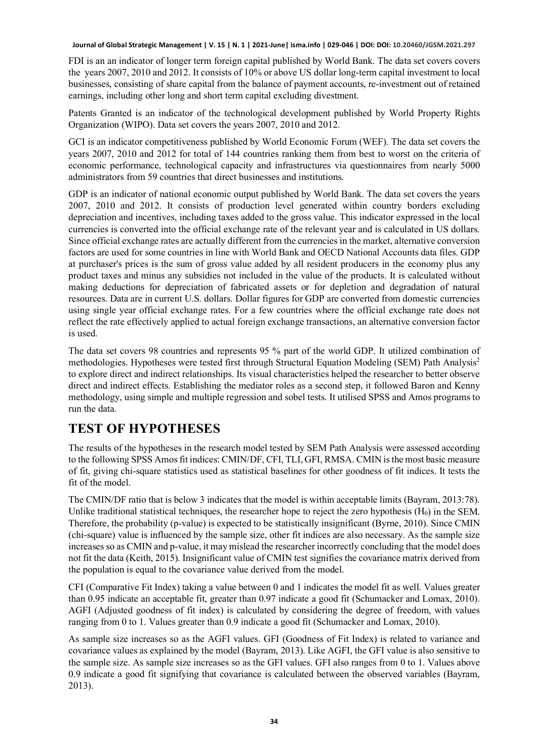FDI is an an indicator of longer term foreign capital published by World Bank. The data set covers covers the years 2007, 2010 and 2012. It consists of 10% or above US dollar long-term capital investment to local businesses, consisting of share capital from the balance of payment accounts, re-investment out of retained earnings, including other long and short term capital excluding divestment.

Patents Granted is an indicator of the technological development published by World Property Rights Organization (WIPO). Data set covers the years 2007, 2010 and 2012.

GCI is an indicator competitiveness published by World Economic Forum (WEF). The data set covers the years 2007, 2010 and 2012 for total of 144 countries ranking them from best to worst on the criteria of economic performance, technological capacity and infrastructures via questionnaires from nearly 5000 administrators from 59 countries that direct businesses and institutions.

GDP is an indicator of national economic output published by World Bank. The data set covers the years 2007, 2010 and 2012. It consists of production level generated within country borders excluding depreciation and incentives, including taxes added to the gross value. This indicator expressed in the local currencies is converted into the official exchange rate of the relevant year and is calculated in US dollars. Since official exchange rates are actually different from the currencies in the market, alternative conversion factors are used for some countries in line with World Bank and OECD National Accounts data files. GDP at purchaser's prices is the sum of gross value added by all resident producers in the economy plus any product taxes and minus any subsidies not included in the value of the products. It is calculated without making deductions for depreciation of fabricated assets or for depletion and degradation of natural resources. Data are in current U.S. dollars. Dollar figures for GDP are converted from domestic currencies using single year official exchange rates. For a few countries where the official exchange rate does not reflect the rate effectively applied to actual foreign exchange transactions, an alternative conversion factor is used.

The data set covers 98 countries and represents 95 % part of the world GDP. It utilized combination of methodologies. Hypotheses were tested first through Structural Equation Modeling (SEM) Path Analysis<sup>2</sup> to explore direct and indirect relationships. Its visual characteristics helped the researcher to better observe direct and indirect effects. Establishing the mediator roles as a second step, it followed Baron and Kenny methodology, using simple and multiple regression and sobel tests. It utilised SPSS and Amos programs to run the data.

## **TEST OF HYPOTHESES**

The results of the hypotheses in the research model tested by SEM Path Analysis were assessed according to the following SPSS Amos fit indices: CMIN/DF, CFI, TLI, GFI, RMSA. CMIN is the most basic measure of fit, giving chi-square statistics used as statistical baselines for other goodness of fit indices. It tests the fit of the model.

The CMIN/DF ratio that is below 3 indicates that the model is within acceptable limits (Bayram, 2013:78). Unlike traditional statistical techniques, the researcher hope to reject the zero hypothesis  $(H_0)$  in the SEM. Therefore, the probability (p-value) is expected to be statistically insignificant (Byrne, 2010). Since CMIN (chi-square) value is influenced by the sample size, other fit indices are also necessary. As the sample size increases so as CMIN and p-value, it may mislead the researcher incorrectly concluding that the model does not fit the data (Keith, 2015). Insignificant value of CMIN test signifies the covariance matrix derived from the population is equal to the covariance value derived from the model.

CFI (Comparative Fit Index) taking a value between 0 and 1 indicates the model fit as well. Values greater than 0.95 indicate an acceptable fit, greater than 0.97 indicate a good fit (Schumacker and Lomax, 2010). AGFI (Adjusted goodness of fit index) is calculated by considering the degree of freedom, with values ranging from 0 to 1. Values greater than 0.9 indicate a good fit (Schumacker and Lomax, 2010).

As sample size increases so as the AGFI values. GFI (Goodness of Fit Index) is related to variance and covariance values as explained by the model (Bayram, 2013). Like AGFI, the GFI value is also sensitive to the sample size. As sample size increases so as the GFI values. GFI also ranges from 0 to 1. Values above 0.9 indicate a good fit signifying that covariance is calculated between the observed variables (Bayram, 2013).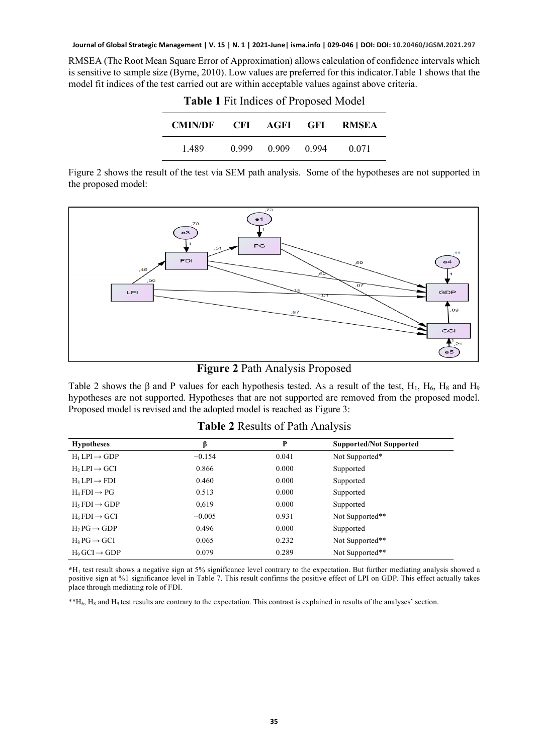RMSEA (The Root Mean Square Error of Approximation) allows calculation of confidence intervals which is sensitive to sample size (Byrne, 2010). Low values are preferred for this indicator.Table 1 shows that the model fit indices of the test carried out are within acceptable values against above criteria.

| <b>CMIN/DF</b> |       |       |       | - CFI AGFI GFI RMSEA |
|----------------|-------|-------|-------|----------------------|
| 1.489          | 0.999 | 0.909 | 0.994 | 0.071                |

**Table 1** Fit Indices of Proposed Model

Figure 2 shows the result of the test via SEM path analysis. Some of the hypotheses are not supported in the proposed model:



**Figure 2** Path Analysis Proposed

Table 2 shows the  $\beta$  and P values for each hypothesis tested. As a result of the test, H<sub>1</sub>, H<sub>6</sub>, H<sub>8</sub> and H<sub>9</sub> hypotheses are not supported. Hypotheses that are not supported are removed from the proposed model. Proposed model is revised and the adopted model is reached as Figure 3:

| <b>Hypotheses</b>           | β        | P     | <b>Supported/Not Supported</b> |
|-----------------------------|----------|-------|--------------------------------|
| $H_1 LPI \rightarrow GDP$   | $-0.154$ | 0.041 | Not Supported*                 |
| $H_2 LPI \rightarrow GCI$   | 0.866    | 0.000 | Supported                      |
| $H_3LPI \rightarrow FDI$    | 0.460    | 0.000 | Supported                      |
| $H_4$ FDI $\rightarrow$ PG  | 0.513    | 0.000 | Supported                      |
| $H5 FDI \rightarrow GDP$    | 0,619    | 0.000 | Supported                      |
| $H_6$ FDI $\rightarrow$ GCI | $-0.005$ | 0.931 | Not Supported**                |
| $H_7PG \rightarrow GDP$     | 0.496    | 0.000 | Supported                      |
| $H_8PG \rightarrow GCI$     | 0.065    | 0.232 | Not Supported**                |
| $H_0$ GCI $\rightarrow$ GDP | 0.079    | 0.289 | Not Supported**                |

### **Table 2** Results of Path Analysis

**\***H1 test result shows a negative sign at 5% significance level contrary to the expectation. But further mediating analysis showed a positive sign at %1 significance level in Table 7. This result confirms the positive effect of LPI on GDP. This effect actually takes place through mediating role of FDI.

\*\*H6, H8 and H9 test results are contrary to the expectation. This contrast is explained in results of the analyses' section.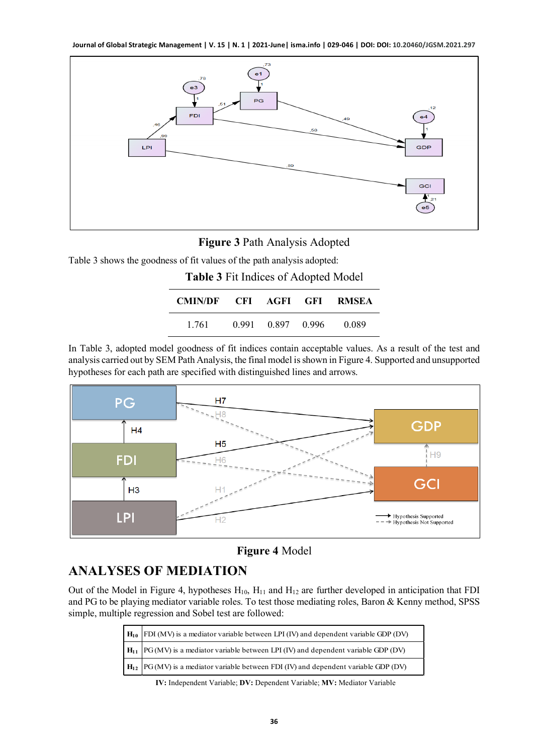

### **Figure 3** Path Analysis Adopted

Table 3 shows the goodness of fit values of the path analysis adopted:

| Table 3 Fit Indices of Adopted Model |  |                   |  |       |
|--------------------------------------|--|-------------------|--|-------|
| CMIN/DF CFI AGFI GFI RMSEA           |  |                   |  |       |
| 1.761                                |  | 0.991 0.897 0.996 |  | 0.089 |

In Table 3, adopted model goodness of fit indices contain acceptable values. As a result of the test and analysis carried out by SEM Path Analysis, the final model is shown in Figure 4. Supported and unsupported hypotheses for each path are specified with distinguished lines and arrows.



**Figure 4** Model

## **ANALYSES OF MEDIATION**

Out of the Model in Figure 4, hypotheses  $H_{10}$ ,  $H_{11}$  and  $H_{12}$  are further developed in anticipation that FDI and PG to be playing mediator variable roles. To test those mediating roles, Baron & Kenny method, SPSS simple, multiple regression and Sobel test are followed:

| $H_{10}$ FDI (MV) is a mediator variable between LPI (IV) and dependent variable GDP (DV) |
|-------------------------------------------------------------------------------------------|
| $H_{11}$ PG(MV) is a mediator variable between LPI (IV) and dependent variable GDP (DV)   |
| $H_{12}$ PG(MV) is a mediator variable between FDI (IV) and dependent variable GDP (DV)   |

**IV:** Independent Variable; **DV:** Dependent Variable; **MV:** Mediator Variable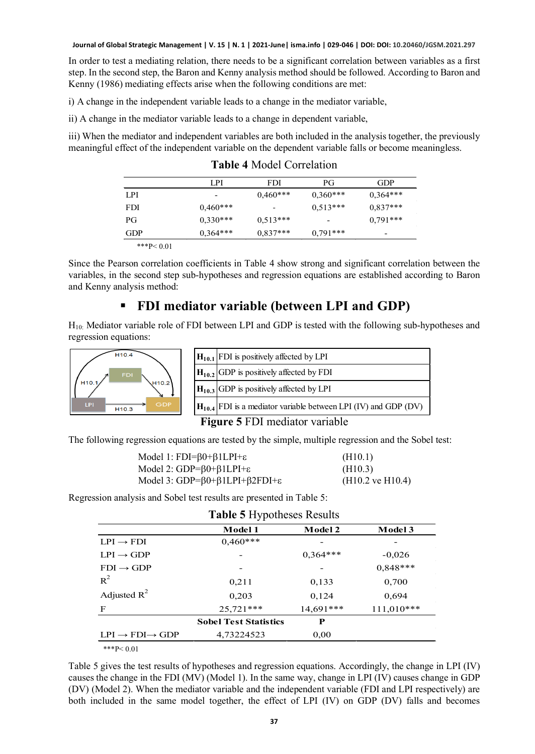In order to test a mediating relation, there needs to be a significant correlation between variables as a first step. In the second step, the Baron and Kenny analysis method should be followed. According to Baron and Kenny (1986) mediating effects arise when the following conditions are met:

i) A change in the independent variable leads to a change in the mediator variable,

ii) A change in the mediator variable leads to a change in dependent variable,

iii) When the mediator and independent variables are both included in the analysis together, the previously meaningful effect of the independent variable on the dependent variable falls or become meaningless.

|            | LPI        | FDI        | РG         | GDP        |
|------------|------------|------------|------------|------------|
| LPI        | -          | $0.460***$ | $0,360***$ | $0,364***$ |
| <b>FDI</b> | $0.460***$ | -          | $0,513***$ | $0,837***$ |
| PG         | $0.330***$ | $0,513***$ |            | $0,791***$ |
| GDP        | $0,364***$ | $0,837***$ | $0.791***$ | -          |

**Table 4** Model Correlation

\*\*\*P< $0.01$ 

Since the Pearson correlation coefficients in Table 4 show strong and significant correlation between the variables, in the second step sub-hypotheses and regression equations are established according to Baron and Kenny analysis method:

## **FDI mediator variable (between LPI and GDP)**

H10: Mediator variable role of FDI between LPI and GDP is tested with the following sub-hypotheses and regression equations:



| $H_{10.1}$ FDI is positively affected by LPI                        |
|---------------------------------------------------------------------|
| $H_{10.2}$ GDP is positively affected by FDI                        |
| $H_{10,3}$ GDP is positively affected by LPI                        |
| $H_{10,4}$ FDI is a mediator variable between LPI (IV) and GDP (DV) |
|                                                                     |

**Figure 5** FDI mediator variable

The following regression equations are tested by the simple, multiple regression and the Sobel test:

| Model 1: $FDI = \beta 0 + \beta 1 LPI + \varepsilon$           | (H10.1)                     |
|----------------------------------------------------------------|-----------------------------|
| Model 2: $GDP = \beta 0 + \beta 1 LPI + \varepsilon$           | (H10.3)                     |
| Model 3: $GDP = \beta 0 + \beta 1 LPI + \beta 2FDI + \epsilon$ | $(H10.2 \text{ ve } H10.4)$ |

Regression analysis and Sobel test results are presented in Table 5:

| <b>Table 5 Hypotheses Results</b>     |                              |                |              |  |
|---------------------------------------|------------------------------|----------------|--------------|--|
|                                       | Model 1                      | <b>Model 2</b> | Model 3      |  |
| $LPI \rightarrow FDI$                 | $0,460***$                   |                |              |  |
| $LPI \rightarrow GDP$                 |                              | $0.364***$     | $-0,026$     |  |
| $FDI \rightarrow GDP$                 |                              |                | $0.848***$   |  |
| $R^2$                                 | 0,211                        | 0,133          | 0,700        |  |
| Adjusted $R^2$                        | 0.203                        | 0,124          | 0.694        |  |
| F                                     | $25.721***$                  | 14,691***      | $111,010***$ |  |
|                                       | <b>Sobel Test Statistics</b> | P              |              |  |
| $LPI \rightarrow FDI \rightarrow GDP$ | 4,73224523                   | 0,00           |              |  |
| $***P<0.01$                           |                              |                |              |  |

Table 5 gives the test results of hypotheses and regression equations. Accordingly, the change in LPI (IV) causes the change in the FDI (MV) (Model 1). In the same way, change in LPI (IV) causes change in GDP (DV) (Model 2). When the mediator variable and the independent variable (FDI and LPI respectively) are both included in the same model together, the effect of LPI (IV) on GDP (DV) falls and becomes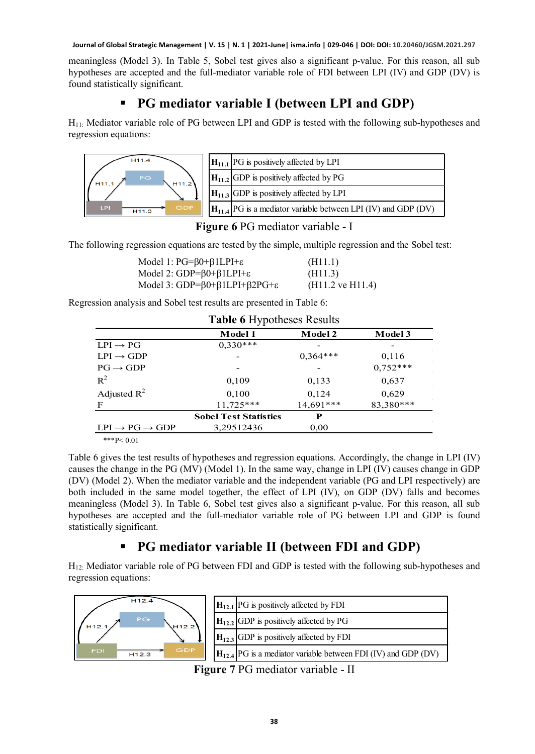meaningless (Model 3). In Table 5, Sobel test gives also a significant p-value. For this reason, all sub hypotheses are accepted and the full-mediator variable role of FDI between LPI (IV) and GDP (DV) is found statistically significant.

## **PG mediator variable I (between LPI and GDP)**

H11: Mediator variable role of PG between LPI and GDP is tested with the following sub-hypotheses and regression equations:



| $H_{11,1}$ PG is positively affected by LPI                          |
|----------------------------------------------------------------------|
| $\left  \mathbf{H}_{11,2} \right $ GDP is positively affected by PG  |
| $\left  \mathbf{H}_{11.3} \right $ GDP is positively affected by LPI |
| $H_{11.4}$ PG is a mediator variable between LPI (IV) and GDP (DV)   |

**Figure 6** PG mediator variable - I

The following regression equations are tested by the simple, multiple regression and the Sobel test:

| Model 1: $PG = \beta 0 + \beta 1 LPI + \epsilon$               | (H11.1)                     |
|----------------------------------------------------------------|-----------------------------|
| Model 2: $GDP = \beta 0 + \beta 1 LPI + \epsilon$              | (H11.3)                     |
| Model 3: $GDP = \beta 0 + \beta 1 LPI + \beta 2 PG + \epsilon$ | $(H11.2 \text{ ve } H11.4)$ |

Regression analysis and Sobel test results are presented in Table 6:

| <b>Table 6 Hypotheses Results</b>    |                              |                |            |  |
|--------------------------------------|------------------------------|----------------|------------|--|
|                                      | Model 1                      | <b>Model 2</b> | Model 3    |  |
| $LPI \rightarrow PG$                 | $0,330***$                   |                |            |  |
| $LPI \rightarrow GDP$                |                              | $0,364***$     | 0,116      |  |
| $PG \rightarrow GDP$                 |                              |                | $0,752***$ |  |
| $R^2$                                | 0,109                        | 0,133          | 0,637      |  |
| Adjusted $R^2$                       | 0,100                        | 0,124          | 0,629      |  |
| F                                    | $11,725***$                  | $14,691***$    | 83,380***  |  |
|                                      | <b>Sobel Test Statistics</b> | P              |            |  |
| $LPI \rightarrow PG \rightarrow GDP$ | 3,29512436                   | 0,00           |            |  |
| ***P< $0.01$                         |                              |                |            |  |

Table 6 gives the test results of hypotheses and regression equations. Accordingly, the change in LPI (IV) causes the change in the PG (MV) (Model 1). In the same way, change in LPI (IV) causes change in GDP (DV) (Model 2). When the mediator variable and the independent variable (PG and LPI respectively) are both included in the same model together, the effect of LPI (IV), on GDP (DV) falls and becomes meaningless (Model 3). In Table 6, Sobel test gives also a significant p-value. For this reason, all sub hypotheses are accepted and the full-mediator variable role of PG between LPI and GDP is found statistically significant.

## **PG mediator variable II (between FDI and GDP)**

H12: Mediator variable role of PG between FDI and GDP is tested with the following sub-hypotheses and regression equations:

| H <sub>12.4</sub>                      | $H_{12,1}$ PG is positively affected by FDI                        |
|----------------------------------------|--------------------------------------------------------------------|
| PG.<br><b>H12.2</b><br>H12.            | $H_{12,2}$ GDP is positively affected by PG                        |
|                                        | $H_{12,3}$ GDP is positively affected by FDI                       |
| GDP<br><b>FDI</b><br>H <sub>12.3</sub> | $H_{12.4}$ PG is a mediator variable between FDI (IV) and GDP (DV) |

**Figure 7** PG mediator variable - II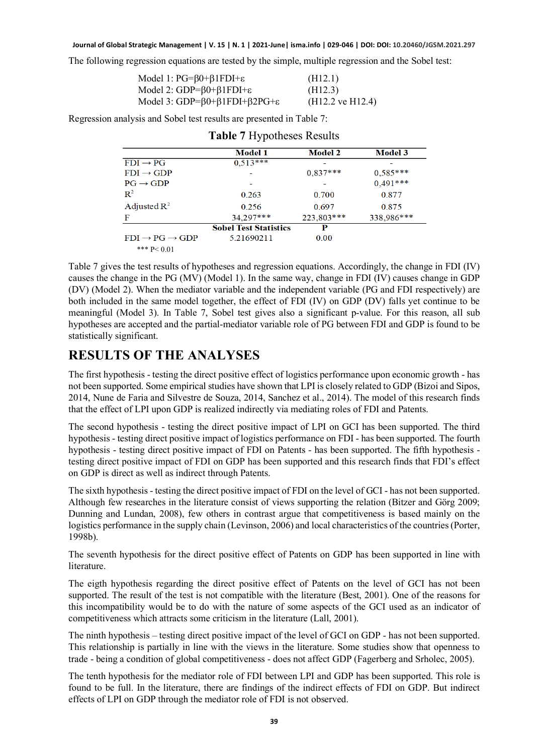The following regression equations are tested by the simple, multiple regression and the Sobel test:

| Model 1: $PG = \beta 0 + \beta 1 FDI + \varepsilon$               | (H12.1)                     |
|-------------------------------------------------------------------|-----------------------------|
| Model 2: $GDP = \beta 0 + \beta 1 FDI + \epsilon$                 | (H12.3)                     |
| Model 3: GDP= $\beta$ 0+ $\beta$ 1FDI+ $\beta$ 2PG+ $\varepsilon$ | $(H12.2 \text{ ve } H12.4)$ |

Regression analysis and Sobel test results are presented in Table 7:

|                                      | <b>Model 1</b>               | <b>Model 2</b> | <b>Model 3</b> |
|--------------------------------------|------------------------------|----------------|----------------|
| $FDI \rightarrow PG$                 | $0,513***$                   |                |                |
| $FDI \rightarrow GDP$                |                              | $0,837***$     | $0,585***$     |
| $PG \rightarrow GDP$                 |                              |                | $0,491***$     |
| $\mathbb{R}^2$                       | 0.263                        | 0.700          | 0.877          |
| Adjusted $\mathbb{R}^2$              | 0.256                        | 0.697          | 0.875          |
| F                                    | 34,297***                    | 223,803***     | 338,986***     |
|                                      | <b>Sobel Test Statistics</b> | P              |                |
| $FDI \rightarrow PG \rightarrow GDP$ | 5.21690211                   | 0.00           |                |
| *** $P < 0.01$                       |                              |                |                |

|  |  | Table 7 Hypotheses Results |  |  |
|--|--|----------------------------|--|--|
|--|--|----------------------------|--|--|

Table 7 gives the test results of hypotheses and regression equations. Accordingly, the change in FDI (IV) causes the change in the PG (MV) (Model 1). In the same way, change in FDI (IV) causes change in GDP (DV) (Model 2). When the mediator variable and the independent variable (PG and FDI respectively) are both included in the same model together, the effect of FDI (IV) on GDP (DV) falls yet continue to be meaningful (Model 3). In Table 7, Sobel test gives also a significant p-value. For this reason, all sub hypotheses are accepted and the partial-mediator variable role of PG between FDI and GDP is found to be statistically significant.

## **RESULTS OF THE ANALYSES**

The first hypothesis - testing the direct positive effect of logistics performance upon economic growth - has not been supported. Some empirical studies have shown that LPI is closely related to GDP (Bizoi and Sipos, 2014, Nune de Faria and Silvestre de Souza, 2014, Sanchez et al., 2014). The model of this research finds that the effect of LPI upon GDP is realized indirectly via mediating roles of FDI and Patents.

The second hypothesis - testing the direct positive impact of LPI on GCI has been supported. The third hypothesis - testing direct positive impact of logistics performance on FDI - has been supported. The fourth hypothesis - testing direct positive impact of FDI on Patents - has been supported. The fifth hypothesis testing direct positive impact of FDI on GDP has been supported and this research finds that FDI's effect on GDP is direct as well as indirect through Patents.

The sixth hypothesis - testing the direct positive impact of FDI on the level of GCI - has not been supported. Although few researches in the literature consist of views supporting the relation (Bitzer and Görg 2009; Dunning and Lundan, 2008), few others in contrast argue that competitiveness is based mainly on the logistics performance in the supply chain (Levinson, 2006) and local characteristics of the countries (Porter, 1998b).

The seventh hypothesis for the direct positive effect of Patents on GDP has been supported in line with literature.

The eigth hypothesis regarding the direct positive effect of Patents on the level of GCI has not been supported. The result of the test is not compatible with the literature (Best, 2001). One of the reasons for this incompatibility would be to do with the nature of some aspects of the GCI used as an indicator of competitiveness which attracts some criticism in the literature (Lall, 2001).

The ninth hypothesis – testing direct positive impact of the level of GCI on GDP - has not been supported. This relationship is partially in line with the views in the literature. Some studies show that openness to trade - being a condition of global competitiveness - does not affect GDP (Fagerberg and Srholec, 2005).

The tenth hypothesis for the mediator role of FDI between LPI and GDP has been supported. This role is found to be full. In the literature, there are findings of the indirect effects of FDI on GDP. But indirect effects of LPI on GDP through the mediator role of FDI is not observed.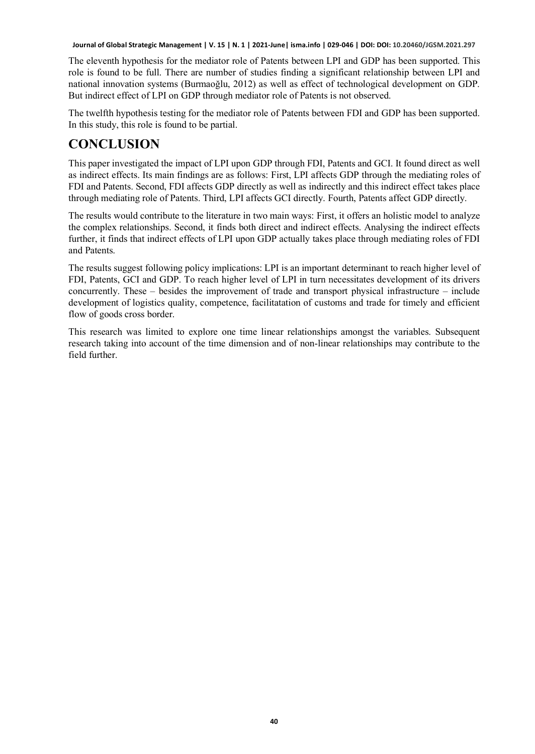The eleventh hypothesis for the mediator role of Patents between LPI and GDP has been supported. This role is found to be full. There are number of studies finding a significant relationship between LPI and national innovation systems (Burmaoğlu, 2012) as well as effect of technological development on GDP. But indirect effect of LPI on GDP through mediator role of Patents is not observed.

The twelfth hypothesis testing for the mediator role of Patents between FDI and GDP has been supported. In this study, this role is found to be partial.

## **CONCLUSION**

This paper investigated the impact of LPI upon GDP through FDI, Patents and GCI. It found direct as well as indirect effects. Its main findings are as follows: First, LPI affects GDP through the mediating roles of FDI and Patents. Second, FDI affects GDP directly as well as indirectly and this indirect effect takes place through mediating role of Patents. Third, LPI affects GCI directly. Fourth, Patents affect GDP directly.

The results would contribute to the literature in two main ways: First, it offers an holistic model to analyze the complex relationships. Second, it finds both direct and indirect effects. Analysing the indirect effects further, it finds that indirect effects of LPI upon GDP actually takes place through mediating roles of FDI and Patents.

The results suggest following policy implications: LPI is an important determinant to reach higher level of FDI, Patents, GCI and GDP. To reach higher level of LPI in turn necessitates development of its drivers concurrently. These – besides the improvement of trade and transport physical infrastructure – include development of logistics quality, competence, facilitatation of customs and trade for timely and efficient flow of goods cross border.

This research was limited to explore one time linear relationships amongst the variables. Subsequent research taking into account of the time dimension and of non-linear relationships may contribute to the field further.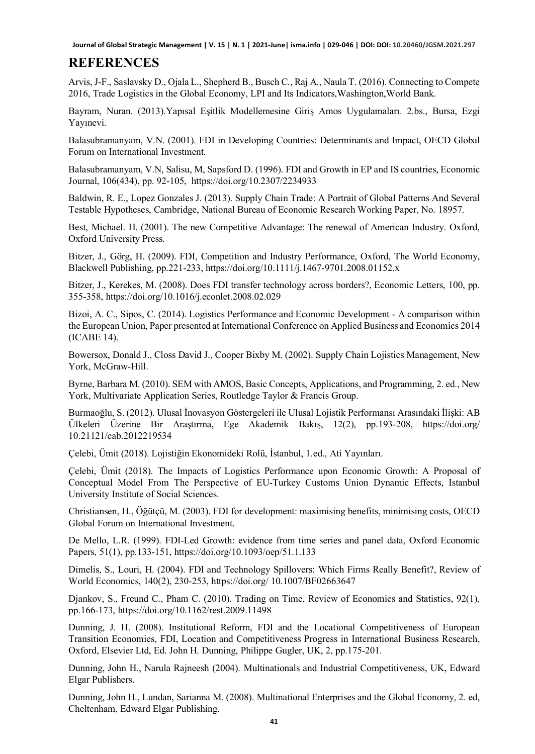## **REFERENCES**

Arvis, J-F., Saslavsky D., Ojala L., Shepherd B., Busch C., Raj A., Naula T. (2016). Connecting to Compete 2016, Trade Logistics in the Global Economy, LPI and Its Indicators,Washington,World Bank.

Bayram, Nuran. (2013).Yapısal Eşitlik Modellemesine Giriş Amos Uygulamaları. 2.bs., Bursa, Ezgi Yayınevi.

Balasubramanyam, V.N. (2001). FDI in Developing Countries: Determinants and Impact, OECD Global Forum on International Investment.

Balasubramanyam, V.N, Salisu, M, Sapsford D. (1996). FDI and Growth in EP and IS countries, Economic Journal, 106(434), pp. 92-105, https://doi.org/10.2307/2234933

Baldwin, R. E., Lopez Gonzales J. (2013). Supply Chain Trade: A Portrait of Global Patterns And Several Testable Hypotheses, Cambridge, National Bureau of Economic Research Working Paper, No. 18957.

Best, Michael. H. (2001). The new Competitive Advantage: The renewal of American Industry. Oxford, Oxford University Press.

Bitzer, J., Görg, H. (2009). FDI, Competition and Industry Performance, Oxford, The World Economy, Blackwell Publishing, pp.221-233, https://doi.org/10.1111/j.1467-9701.2008.01152.x

Bitzer, J., Kerekes, M. (2008). Does FDI transfer technology across borders?, Economic Letters, 100, pp. 355-358, https://doi.org/10.1016/j.econlet.2008.02.029

Bizoi, A. C., Sipos, C. (2014). Logistics Performance and Economic Development - A comparison within the European Union, Paper presented at International Conference on Applied Business and Economics 2014 (ICABE 14).

Bowersox, Donald J., Closs David J., Cooper Bixby M. (2002). Supply Chain Lojistics Management, New York, McGraw-Hill.

Byrne, Barbara M. (2010). SEM with AMOS, Basic Concepts, Applications, and Programming, 2. ed., New York, Multivariate Application Series, Routledge Taylor & Francis Group.

Burmaoğlu, S. (2012). Ulusal İnovasyon Göstergeleri ile Ulusal Lojistik Performansı Arasındaki İlişki: AB Ülkeleri Üzerine Bir Araştırma, Ege Akademik Bakış, 12(2), pp.193-208, https://doi.org/ 10.21121/eab.2012219534

Çelebi, Ümit (2018). Lojistiğin Ekonomideki Rolü, İstanbul, 1.ed., Ati Yayınları.

Çelebi, Ümit (2018). The Impacts of Logistics Performance upon Economic Growth: A Proposal of Conceptual Model From The Perspective of EU-Turkey Customs Union Dynamic Effects, Istanbul University Institute of Social Sciences.

Christiansen, H., Öğütçü, M. (2003). FDI for development: maximising benefits, minimising costs, OECD Global Forum on International Investment.

De Mello, L.R. (1999). FDI-Led Growth: evidence from time series and panel data, Oxford Economic Papers, 51(1), pp.133-151, https://doi.org/10.1093/oep/51.1.133

Dimelis, S., Louri, H. (2004). FDI and Technology Spillovers: Which Firms Really Benefit?, Review of World Economics, 140(2), 230-253, https://doi.org/ 10.1007/BF02663647

Djankov, S., Freund C., Pham C. (2010). Trading on Time, Review of Economics and Statistics, 92(1), pp.166-173, https://doi.org/10.1162/rest.2009.11498

Dunning, J. H. (2008). Institutional Reform, FDI and the Locational Competitiveness of European Transition Economies, FDI, Location and Competitiveness Progress in International Business Research, Oxford, Elsevier Ltd, Ed. John H. Dunning, Philippe Gugler, UK, 2, pp.175-201.

Dunning, John H., Narula Rajneesh (2004). Multinationals and Industrial Competitiveness, UK, Edward Elgar Publishers.

Dunning, John H., Lundan, Sarianna M. (2008). Multinational Enterprises and the Global Economy, 2. ed, Cheltenham, Edward Elgar Publishing.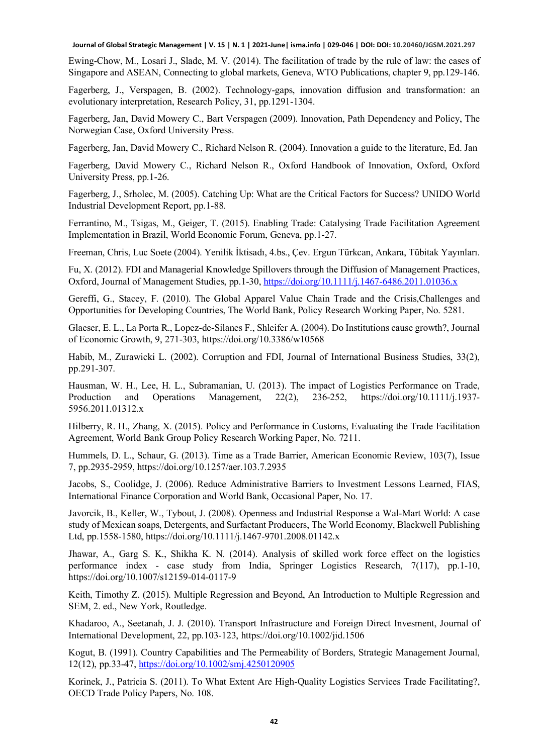Ewing-Chow, M., Losari J., Slade, M. V. (2014). The facilitation of trade by the rule of law: the cases of Singapore and ASEAN, Connecting to global markets, Geneva, WTO Publications, chapter 9, pp.129-146.

Fagerberg, J., Verspagen, B. (2002). Technology-gaps, innovation diffusion and transformation: an evolutionary interpretation, Research Policy, 31, pp.1291-1304.

Fagerberg, Jan, David Mowery C., Bart Verspagen (2009). Innovation, Path Dependency and Policy, The Norwegian Case, Oxford University Press.

Fagerberg, Jan, David Mowery C., Richard Nelson R. (2004). Innovation a guide to the literature, Ed. Jan

Fagerberg, David Mowery C., Richard Nelson R., Oxford Handbook of Innovation, Oxford, Oxford University Press, pp.1-26.

Fagerberg, J., Srholec, M. (2005). Catching Up: What are the Critical Factors for Success? UNIDO World Industrial Development Report, pp.1-88.

Ferrantino, M., Tsigas, M., Geiger, T. (2015). Enabling Trade: Catalysing Trade Facilitation Agreement Implementation in Brazil, World Economic Forum, Geneva, pp.1-27.

Freeman, Chris, Luc Soete (2004). Yenilik İktisadı, 4.bs., Çev. Ergun Türkcan, Ankara, Tübitak Yayınları.

Fu, X. (2012). FDI and Managerial Knowledge Spillovers through the Diffusion of Management Practices, Oxford, Journal of Management Studies, pp.1-30[, https://doi.org/10.1111/j.1467-6486.2011.01036.x](https://doi.org/10.1111/j.1467-6486.2011.01036.x)

Gereffi, G., Stacey, F. (2010). The Global Apparel Value Chain Trade and the Crisis,Challenges and Opportunities for Developing Countries, The World Bank, Policy Research Working Paper, No. 5281.

Glaeser, E. L., La Porta R., Lopez-de-Silanes F., Shleifer A. (2004). Do Institutions cause growth?, Journal of Economic Growth, 9, 271-303, https://doi.org/10.3386/w10568

Habib, M., Zurawicki L. (2002). Corruption and FDI, Journal of International Business Studies, 33(2), pp.291-307.

Hausman, W. H., Lee, H. L., Subramanian, U. (2013). The impact of Logistics Performance on Trade, Production and Operations Management, 22(2), 236-252, https://doi.org/10.1111/j.1937- 5956.2011.01312.x

Hilberry, R. H., Zhang, X. (2015). Policy and Performance in Customs, Evaluating the Trade Facilitation Agreement, World Bank Group Policy Research Working Paper, No. 7211.

Hummels, D. L., Schaur, G. (2013). Time as a Trade Barrier, American Economic Review, 103(7), Issue 7, pp.2935-2959, https://doi.org/10.1257/aer.103.7.2935

Jacobs, S., Coolidge, J. (2006). Reduce Administrative Barriers to Investment Lessons Learned, FIAS, International Finance Corporation and World Bank, Occasional Paper, No. 17.

Javorcik, B., Keller, W., Tybout, J. (2008). Openness and Industrial Response a Wal-Mart World: A case study of Mexican soaps, Detergents, and Surfactant Producers, The World Economy, Blackwell Publishing Ltd, pp.1558-1580, https://doi.org/10.1111/j.1467-9701.2008.01142.x

Jhawar, A., Garg S. K., Shikha K. N. (2014). Analysis of skilled work force effect on the logistics performance index - case study from India, Springer Logistics Research, 7(117), pp.1-10, https://doi.org/10.1007/s12159-014-0117-9

Keith, Timothy Z. (2015). Multiple Regression and Beyond, An Introduction to Multiple Regression and SEM, 2. ed., New York, Routledge.

Khadaroo, A., Seetanah, J. J. (2010). Transport Infrastructure and Foreign Direct Invesment, Journal of International Development, 22, pp.103-123, https://doi.org/10.1002/jid.1506

Kogut, B. (1991). Country Capabilities and The Permeability of Borders, Strategic Management Journal, 12(12), pp.33-47,<https://doi.org/10.1002/smj.4250120905>

Korinek, J., Patricia S. (2011). To What Extent Are High-Quality Logistics Services Trade Facilitating?, OECD Trade Policy Papers, No. 108.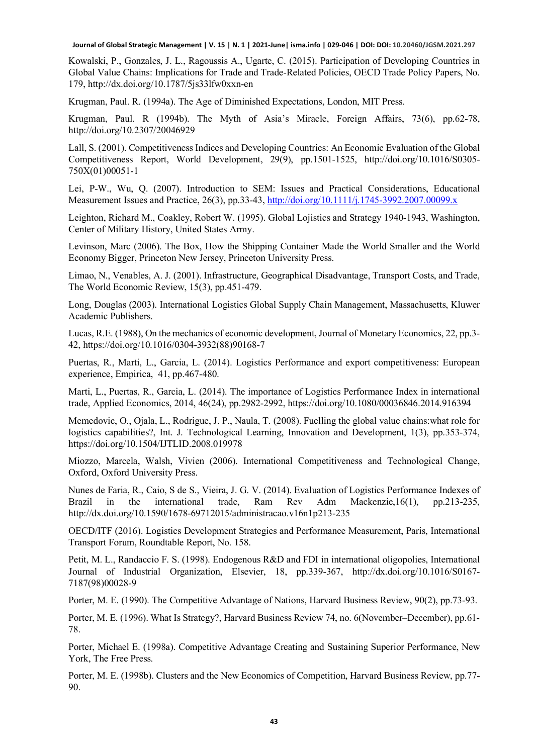Kowalski, P., Gonzales, J. L., Ragoussis A., Ugarte, C. (2015). Participation of Developing Countries in Global Value Chains: Implications for Trade and Trade-Related Policies, OECD Trade Policy Papers, No. 179, http://dx.doi.org/10.1787/5js33lfw0xxn-en

Krugman, Paul. R. (1994a). The Age of Diminished Expectations, London, MIT Press.

Krugman, Paul. R (1994b). The Myth of Asia's Miracle, Foreign Affairs, 73(6), pp.62-78, http://doi.org/10.2307/20046929

Lall, S. (2001). Competitiveness Indices and Developing Countries: An Economic Evaluation of the Global Competitiveness Report, World Development, 29(9), pp.1501-1525, http://doi.org/10.1016/S0305- 750X(01)00051-1

Lei, P-W., Wu, Q. (2007). Introduction to SEM: Issues and Practical Considerations, Educational Measurement Issues and Practice, 26(3), pp.33-43,<http://doi.org/10.1111/j.1745-3992.2007.00099.x>

Leighton, Richard M., Coakley, Robert W. (1995). Global Lojistics and Strategy 1940-1943, Washington, Center of Military History, United States Army.

Levinson, Marc (2006). The Box, How the Shipping Container Made the World Smaller and the World Economy Bigger, Princeton New Jersey, Princeton University Press.

Limao, N., Venables, A. J. (2001). Infrastructure, Geographical Disadvantage, Transport Costs, and Trade, The World Economic Review, 15(3), pp.451-479.

Long, Douglas (2003). International Logistics Global Supply Chain Management, Massachusetts, Kluwer Academic Publishers.

Lucas, R.E. (1988), On the mechanics of economic development, Journal of Monetary Economics, 22, pp.3- 42, https://doi.org/10.1016/0304-3932(88)90168-7

Puertas, R., Marti, L., Garcia, L. (2014). Logistics Performance and export competitiveness: European experience, Empirica, 41, pp.467-480.

Marti, L., Puertas, R., Garcia, L. (2014). The importance of Logistics Performance Index in international trade, Applied Economics, 2014, 46(24), pp.2982-2992, https://doi.org/10.1080/00036846.2014.916394

Memedovic, O., Ojala, L., Rodrigue, J. P., Naula, T. (2008). Fuelling the global value chains:what role for logistics capabilities?, Int. J. Technological Learning, Innovation and Development, 1(3), pp.353-374, https://doi.org/10.1504/IJTLID.2008.019978

Miozzo, Marcela, Walsh, Vivien (2006). International Competitiveness and Technological Change, Oxford, Oxford University Press.

Nunes de Faria, R., Caio, S de S., Vieira, J. G. V. (2014). Evaluation of Logistics Performance Indexes of Brazil in the international trade, Ram Rev Adm Mackenzie,16(1), pp.213-235, http://dx.doi.org/10.1590/1678-69712015/administracao.v16n1p213-235

OECD/ITF (2016). Logistics Development Strategies and Performance Measurement, Paris, International Transport Forum, Roundtable Report, No. 158.

Petit, M. L., Randaccio F. S. (1998). Endogenous R&D and FDI in international oligopolies, International Journal of Industrial Organization, Elsevier, 18, pp.339-367, http://dx.doi.org/10.1016/S0167- 7187(98)00028-9

Porter, M. E. (1990). The Competitive Advantage of Nations, Harvard Business Review, 90(2), pp.73-93.

Porter, M. E. (1996). What Is Strategy?, Harvard Business Review 74, no. 6(November–December), pp.61- 78.

Porter, Michael E. (1998a). Competitive Advantage Creating and Sustaining Superior Performance, New York, The Free Press.

Porter, M. E. (1998b). Clusters and the New Economics of Competition, Harvard Business Review, pp.77- 90.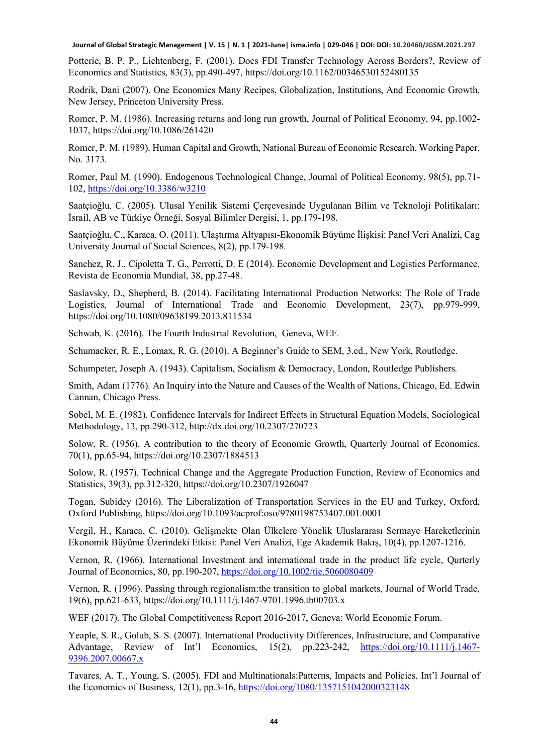Potterie, B. P. P., Lichtenberg, F. (2001). Does FDI Transfer Technology Across Borders?, Review of Economics and Statistics, 83(3), pp.490-497, https://doi.org/10.1162/00346530152480135

Rodrik, Dani (2007). One Economics Many Recipes, Globalization, Institutions, And Economic Growth, New Jersey, Princeton University Press.

Romer, P. M. (1986). Increasing returns and long run growth, Journal of Political Economy, 94, pp.1002- 1037, https://doi.org/10.1086/261420

Romer, P. M. (1989). Human Capital and Growth, National Bureau of Economic Research, Working Paper, No. 3173.

Romer, Paul M. (1990). Endogenous Technological Change, Journal of Political Economy, 98(5), pp.71- 102,<https://doi.org/10.3386/w3210>

Saatçioğlu, C. (2005). Ulusal Yenilik Sistemi Çerçevesinde Uygulanan Bilim ve Teknoloji Politikaları: İsrail, AB ve Türkiye Örneği, Sosyal Bilimler Dergisi, 1, pp.179-198.

Saatçioğlu, C., Karaca, O. (2011). Ulaştırma Altyapısı-Ekonomik Büyüme İlişkisi: Panel Veri Analizi, Cag University Journal of Social Sciences, 8(2), pp.179-198.

Sanchez, R. J., Cipoletta T. G., Perrotti, D. E (2014). Economic Development and Logistics Performance, Revista de Economia Mundial, 38, pp.27-48.

Saslavsky, D., Shepherd, B. (2014). Facilitating International Production Networks: The Role of Trade Logistics, Journal of International Trade and Economic Development, 23(7), pp.979-999, https://doi.org/10.1080/09638199.2013.811534

Schwab, K. (2016). The Fourth Industrial Revolution, Geneva, WEF.

Schumacker, R. E., Lomax, R. G. (2010). A Beginner's Guide to SEM, 3.ed., New York, Routledge.

Schumpeter, Joseph A. (1943). Capitalism, Socialism & Democracy, London, Routledge Publishers.

Smith, Adam (1776). An Inquiry into the Nature and Causes of the Wealth of Nations, Chicago, Ed. Edwin Cannan, Chicago Press.

Sobel, M. E. (1982). Confidence Intervals for Indirect Effects in Structural Equation Models, Sociological Methodology, 13, pp.290-312, http://dx.doi.org/10.2307/270723

Solow, R. (1956). A contribution to the theory of Economic Growth, Quarterly Journal of Economics, 70(1), pp.65-94, https://doi.org/10.2307/1884513

Solow, R. (1957). Technical Change and the Aggregate Production Function, Review of Economics and Statistics, 39(3), pp.312-320, https://doi.org/10.2307/1926047

Togan, Subidey (2016). The Liberalization of Transportation Services in the EU and Turkey, Oxford, Oxford Publishing, https://doi.org/10.1093/acprof:oso/9780198753407.001.0001

Vergil, H., Karaca, C. (2010). Gelişmekte Olan Ülkelere Yönelik Uluslararası Sermaye Hareketlerinin Ekonomik Büyüme Üzerindeki Etkisi: Panel Veri Analizi, Ege Akademik Bakış, 10(4), pp.1207-1216.

Vernon, R. (1966). International Investment and international trade in the product life cycle, Qurterly Journal of Economics, 80, pp.190-207,<https://doi.org/10.1002/tie.5060080409>

Vernon, R. (1996). Passing through regionalism:the transition to global markets, Journal of World Trade, 19(6), pp.621-633, https://doi.org/10.1111/j.1467-9701.1996.tb00703.x

WEF (2017). The Global Competitiveness Report 2016-2017, Geneva: World Economic Forum.

Yeaple, S. R., Golub, S. S. (2007). International Productivity Differences, Infrastructure, and Comparative Advantage, Review of Int'l Economics, 15(2), pp.223-242, [https://doi.org/10.1111/j.1467-](https://doi.org/10.1111/j.1467-9396.2007.00667.x) [9396.2007.00667.x](https://doi.org/10.1111/j.1467-9396.2007.00667.x)

Tavares, A. T., Young, S. (2005). FDI and Multinationals:Patterns, Impacts and Policies, Int'l Journal of the Economics of Business, 12(1), pp.3-16,<https://doi.org/1080/1357151042000323148>